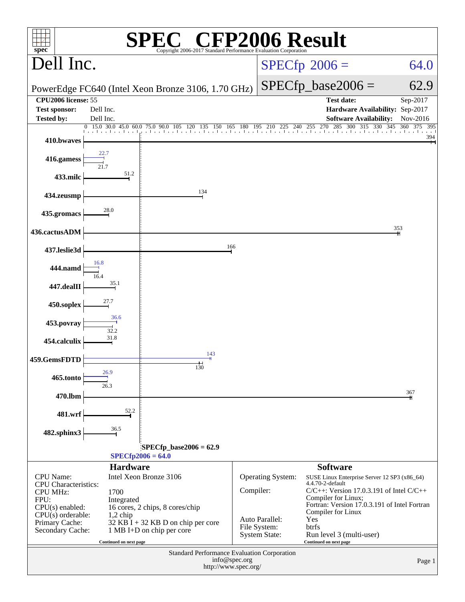| <b>CFP2006 Result</b><br>$spec^{\circ}$<br>Copyright 2006-2017 Standard Performance E |                        |                                                               |                        |                                |                                                                              |                                      |  |
|---------------------------------------------------------------------------------------|------------------------|---------------------------------------------------------------|------------------------|--------------------------------|------------------------------------------------------------------------------|--------------------------------------|--|
| Dell Inc.                                                                             |                        |                                                               | $SPECfp^{\circ}2006 =$ | 64.0                           |                                                                              |                                      |  |
|                                                                                       |                        | PowerEdge FC640 (Intel Xeon Bronze 3106, 1.70 GHz)            |                        |                                | $SPECfp\_base2006 =$                                                         | 62.9                                 |  |
| <b>CPU2006</b> license: 55                                                            |                        |                                                               |                        |                                | <b>Test date:</b>                                                            | Sep-2017                             |  |
| <b>Test sponsor:</b>                                                                  | Dell Inc.              |                                                               |                        |                                | Hardware Availability: Sep-2017                                              |                                      |  |
| <b>Tested by:</b>                                                                     | Dell Inc.<br>0         |                                                               |                        | 225<br>240                     | <b>Software Availability:</b><br>285<br>$255 \quad 270$<br>300<br>315<br>330 | Nov-2016<br>345<br>375<br>360<br>395 |  |
| 410.bwaves                                                                            |                        | 15.0 30.0 45.0 60.0 75.0 90.0 105 120 135 150 165 180 195 210 |                        | and a start and an             |                                                                              | 394                                  |  |
| 416.gamess                                                                            | 22.7                   |                                                               |                        |                                |                                                                              |                                      |  |
| 433.milc                                                                              | 51.2                   |                                                               |                        |                                |                                                                              |                                      |  |
| 434.zeusmp                                                                            |                        | 134                                                           |                        |                                |                                                                              |                                      |  |
| 435.gromacs                                                                           | 28.0                   |                                                               |                        |                                |                                                                              |                                      |  |
| 436.cactusADM                                                                         |                        |                                                               |                        |                                |                                                                              | 353                                  |  |
| 437.leslie3d                                                                          |                        | 166                                                           |                        |                                |                                                                              |                                      |  |
| 444.namd                                                                              | 16.8                   |                                                               |                        |                                |                                                                              |                                      |  |
| 447.dealII                                                                            | 35.1                   |                                                               |                        |                                |                                                                              |                                      |  |
| 450.soplex                                                                            | 27.7                   |                                                               |                        |                                |                                                                              |                                      |  |
| 453.povray                                                                            | 36.6<br>32.2           |                                                               |                        |                                |                                                                              |                                      |  |
| 454.calculix                                                                          | 31.8                   |                                                               |                        |                                |                                                                              |                                      |  |
| 459.GemsFDTD                                                                          |                        | 143<br>150                                                    |                        |                                |                                                                              |                                      |  |
| 465.tonto                                                                             | 26.9<br>26.3           |                                                               |                        |                                |                                                                              |                                      |  |
| 470.lbm                                                                               |                        |                                                               |                        |                                |                                                                              | 367                                  |  |
| 481.wrf                                                                               | 52.2                   |                                                               |                        |                                |                                                                              |                                      |  |
| 482.sphinx3                                                                           | 36.5                   |                                                               |                        |                                |                                                                              |                                      |  |
|                                                                                       |                        | $SPECfp\_base2006 = 62.9$                                     |                        |                                |                                                                              |                                      |  |
|                                                                                       | <b>Hardware</b>        | $SPECfp2006 = 64.0$                                           |                        |                                | <b>Software</b>                                                              |                                      |  |
| <b>CPU</b> Name:                                                                      |                        | Intel Xeon Bronze 3106                                        |                        | Operating System:              | SUSE Linux Enterprise Server 12 SP3 (x86_64)                                 |                                      |  |
| <b>CPU</b> Characteristics:                                                           | 1700                   |                                                               | Compiler:              |                                | 4.4.70-2-default<br>$C/C++$ : Version 17.0.3.191 of Intel $C/C++$            |                                      |  |
| <b>CPU MHz:</b><br>FPU:                                                               | Integrated             |                                                               |                        |                                | Compiler for Linux;                                                          |                                      |  |
| $CPU(s)$ enabled:<br>$CPU(s)$ orderable:                                              | $1,2$ chip             | 16 cores, 2 chips, 8 cores/chip                               |                        |                                | Fortran: Version 17.0.3.191 of Intel Fortran<br>Compiler for Linux           |                                      |  |
| Primary Cache:                                                                        |                        | $32$ KB I + 32 KB D on chip per core                          |                        | Auto Parallel:<br>File System: | Yes<br>btrfs                                                                 |                                      |  |
| Secondary Cache:                                                                      |                        | 1 MB I+D on chip per core                                     |                        | <b>System State:</b>           | Run level 3 (multi-user)                                                     |                                      |  |
|                                                                                       | Continued on next page | Standard Performance Evaluation Corporation                   |                        |                                | Continued on next page                                                       |                                      |  |
|                                                                                       |                        | http://www.spec.org/                                          | info@spec.org          |                                |                                                                              | Page 1                               |  |
|                                                                                       |                        |                                                               |                        |                                |                                                                              |                                      |  |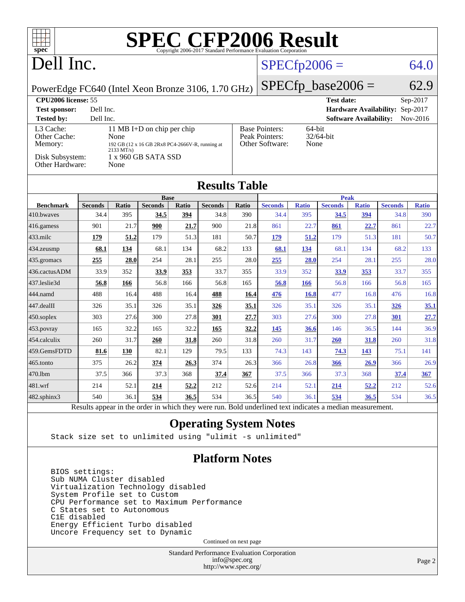| T T T<br>spec <sup>®</sup>                                                                                                                                                                                                                                                                                             |                                                                  |            |                |              |                |       |                |              |                |                               |                |              |
|------------------------------------------------------------------------------------------------------------------------------------------------------------------------------------------------------------------------------------------------------------------------------------------------------------------------|------------------------------------------------------------------|------------|----------------|--------------|----------------|-------|----------------|--------------|----------------|-------------------------------|----------------|--------------|
| Dell Inc.                                                                                                                                                                                                                                                                                                              |                                                                  |            |                |              |                |       | $SPECfp2006 =$ |              |                |                               | 64.0           |              |
| $SPECfp\_base2006 =$<br>PowerEdge FC640 (Intel Xeon Bronze 3106, 1.70 GHz)                                                                                                                                                                                                                                             |                                                                  |            |                |              |                |       | 62.9           |              |                |                               |                |              |
|                                                                                                                                                                                                                                                                                                                        | CPU <sub>2006</sub> license: 55<br><b>Test date:</b><br>Sep-2017 |            |                |              |                |       |                |              |                |                               |                |              |
| Dell Inc.<br>Hardware Availability: Sep-2017<br><b>Test sponsor:</b>                                                                                                                                                                                                                                                   |                                                                  |            |                |              |                |       |                |              |                |                               |                |              |
| <b>Tested by:</b>                                                                                                                                                                                                                                                                                                      | Dell Inc.                                                        |            |                |              |                |       |                |              |                | <b>Software Availability:</b> |                | Nov-2016     |
| L3 Cache:<br>11 MB I+D on chip per chip<br><b>Base Pointers:</b><br>64-bit<br>Peak Pointers:<br>32/64-bit<br>Other Cache:<br>None<br>Other Software:<br>None<br>Memory:<br>192 GB (12 x 16 GB 2Rx8 PC4-2666V-R, running at<br>$2133 \text{ MT/s}$<br>Disk Subsystem:<br>1 x 960 GB SATA SSD<br>Other Hardware:<br>None |                                                                  |            |                |              |                |       |                |              |                |                               |                |              |
| <b>Results Table</b>                                                                                                                                                                                                                                                                                                   |                                                                  |            |                |              |                |       |                |              |                |                               |                |              |
|                                                                                                                                                                                                                                                                                                                        |                                                                  |            | <b>Base</b>    |              |                |       |                |              | <b>Peak</b>    |                               |                |              |
| <b>Benchmark</b>                                                                                                                                                                                                                                                                                                       | <b>Seconds</b>                                                   | Ratio      | <b>Seconds</b> | <b>Ratio</b> | <b>Seconds</b> | Ratio | <b>Seconds</b> | <b>Ratio</b> | <b>Seconds</b> | <b>Ratio</b>                  | <b>Seconds</b> | <b>Ratio</b> |
| 410.bwaves                                                                                                                                                                                                                                                                                                             | 34.4                                                             | 395        | 34.5           | 394          | 34.8           | 390   | 34.4           | 395          | 34.5           | 394                           | 34.8           | 390          |
| 416.gamess                                                                                                                                                                                                                                                                                                             | 901                                                              | 21.7       | 900            | 21.7         | 900            | 21.8  | 861            | 22.7         | 861            | 22.7                          | 861            | 22.7         |
| 433.milc                                                                                                                                                                                                                                                                                                               | 179                                                              | 51.2       | 179            | 51.3         | 181            | 50.7  | 179            | 51.2         | 179            | 51.3                          | 181            | 50.7         |
| 434.zeusmp                                                                                                                                                                                                                                                                                                             | 68.1                                                             | 134        | 68.1           | 134          | 68.2           | 133   | 68.1           | 134          | 68.1           | 134                           | 68.2           | 133          |
| 435.gromacs                                                                                                                                                                                                                                                                                                            | 255                                                              | 28.0       | 254            | 28.1         | 255            | 28.0  | 255            | 28.0         | 254            | 28.1                          | 255            | 28.0         |
| 436.cactusADM                                                                                                                                                                                                                                                                                                          | 33.9                                                             | 352        | 33.9           | 353          | 33.7           | 355   | 33.9           | 352          | 33.9           | 353                           | 33.7           | 355          |
| 437.leslie3d                                                                                                                                                                                                                                                                                                           | 56.8                                                             | 166        | 56.8           | 166          | 56.8           | 165   | 56.8           | <b>166</b>   | 56.8           | 166                           | 56.8           | 165          |
| 444.namd                                                                                                                                                                                                                                                                                                               | 488                                                              | 16.4       | 488            | 16.4         | 488            | 16.4  | 476            | <b>16.8</b>  | 477            | 16.8                          | 476            | 16.8         |
| 447.dealII                                                                                                                                                                                                                                                                                                             | 326                                                              | 35.1       | 326            | 35.1         | <u>326</u>     | 35.1  | 326            | 35.1         | 326            | 35.1                          | 326            | 35.1         |
| 450.soplex                                                                                                                                                                                                                                                                                                             | 303                                                              | 27.6       | 300            | 27.8         | 301            | 27.7  | 303            | 27.6         | 300            | 27.8                          | 301            | 27.7         |
| 453.povray                                                                                                                                                                                                                                                                                                             | 165                                                              | 32.2       | 165            | 32.2         | 165            | 32.2  | 145            | 36.6         | 146            | 36.5                          | 144            | 36.9         |
| 454.calculix                                                                                                                                                                                                                                                                                                           | 260                                                              | 31.7       | 260            | 31.8         | 260            | 31.8  | 260            | 31.7         | <b>260</b>     | 31.8                          | 260            | 31.8         |
| 459.GemsFDTD                                                                                                                                                                                                                                                                                                           | 81.6                                                             | <b>130</b> | 82.1           | 129          | 79.5           | 133   | 74.3           | 143          | 74.3           | 143                           | 75.1           | 141          |
| 465.tonto                                                                                                                                                                                                                                                                                                              | 375                                                              | 26.2       | 374            | 26.3         | 374            | 26.3  | 366            | 26.8         | 366            | 26.9                          | 366            | 26.9         |
| 470.1bm                                                                                                                                                                                                                                                                                                                | 37.5                                                             | 366        | 37.3           | 368          | 37.4           | 367   | 37.5           | 366          | 37.3           | 368                           | 37.4           | 367          |
| 481.wrf                                                                                                                                                                                                                                                                                                                | 214                                                              | 52.1       | 214            | 52.2         | 212            | 52.6  | 214            | 52.1         | 214            | 52,2                          | 212            | 52.6         |
| 482.sphinx3                                                                                                                                                                                                                                                                                                            | 540                                                              | 36.1       | 534            | 36.5         | 534            | 36.5  | 540            | 36.1         | 534            | 36.5                          | 534            | 36.5         |
| Results appear in the order in which they were run. Bold underlined text indicates a median measurement.                                                                                                                                                                                                               |                                                                  |            |                |              |                |       |                |              |                |                               |                |              |

#### **[Operating System Notes](http://www.spec.org/auto/cpu2006/Docs/result-fields.html#OperatingSystemNotes)**

Stack size set to unlimited using "ulimit -s unlimited"

#### **[Platform Notes](http://www.spec.org/auto/cpu2006/Docs/result-fields.html#PlatformNotes)**

 BIOS settings: Sub NUMA Cluster disabled Virtualization Technology disabled System Profile set to Custom CPU Performance set to Maximum Performance C States set to Autonomous C1E disabled Energy Efficient Turbo disabled Uncore Frequency set to Dynamic

Continued on next page

Standard Performance Evaluation Corporation [info@spec.org](mailto:info@spec.org) <http://www.spec.org/>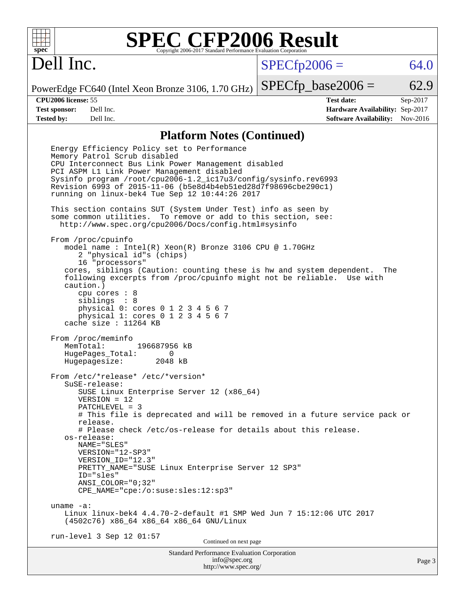# **[SPEC CFP2006 Result](http://www.spec.org/auto/cpu2006/Docs/result-fields.html#SPECCFP2006Result)**

# Dell Inc.

 $SPECTp2006 = 64.0$ 

PowerEdge FC640 (Intel Xeon Bronze 3106, 1.70 GHz)

 $SPECTp\_base2006 = 62.9$ 

**[CPU2006 license:](http://www.spec.org/auto/cpu2006/Docs/result-fields.html#CPU2006license)** 55 **[Test date:](http://www.spec.org/auto/cpu2006/Docs/result-fields.html#Testdate)** Sep-2017 **[Test sponsor:](http://www.spec.org/auto/cpu2006/Docs/result-fields.html#Testsponsor)** Dell Inc. **[Hardware Availability:](http://www.spec.org/auto/cpu2006/Docs/result-fields.html#HardwareAvailability)** Sep-2017 **[Tested by:](http://www.spec.org/auto/cpu2006/Docs/result-fields.html#Testedby)** Dell Inc. **[Software Availability:](http://www.spec.org/auto/cpu2006/Docs/result-fields.html#SoftwareAvailability)** Nov-2016

#### **[Platform Notes \(Continued\)](http://www.spec.org/auto/cpu2006/Docs/result-fields.html#PlatformNotes)**

Standard Performance Evaluation Corporation [info@spec.org](mailto:info@spec.org) Page 3 Energy Efficiency Policy set to Performance Memory Patrol Scrub disabled CPU Interconnect Bus Link Power Management disabled PCI ASPM L1 Link Power Management disabled Sysinfo program /root/cpu2006-1.2\_ic17u3/config/sysinfo.rev6993 Revision 6993 of 2015-11-06 (b5e8d4b4eb51ed28d7f98696cbe290c1) running on linux-bek4 Tue Sep 12 10:44:26 2017 This section contains SUT (System Under Test) info as seen by some common utilities. To remove or add to this section, see: <http://www.spec.org/cpu2006/Docs/config.html#sysinfo> From /proc/cpuinfo model name : Intel(R) Xeon(R) Bronze 3106 CPU @ 1.70GHz 2 "physical id"s (chips) 16 "processors" cores, siblings (Caution: counting these is hw and system dependent. The following excerpts from /proc/cpuinfo might not be reliable. Use with caution.) cpu cores : 8 siblings : 8 physical 0: cores 0 1 2 3 4 5 6 7 physical 1: cores 0 1 2 3 4 5 6 7 cache size : 11264 KB From /proc/meminfo MemTotal: 196687956 kB HugePages\_Total: 0<br>Hugepagesize: 2048 kB Hugepagesize: From /etc/\*release\* /etc/\*version\* SuSE-release: SUSE Linux Enterprise Server 12 (x86\_64) VERSION = 12 PATCHLEVEL = 3 # This file is deprecated and will be removed in a future service pack or release. # Please check /etc/os-release for details about this release. os-release: NAME="SLES" VERSION="12-SP3" VERSION\_ID="12.3" PRETTY\_NAME="SUSE Linux Enterprise Server 12 SP3" ID="sles" ANSI\_COLOR="0;32" CPE\_NAME="cpe:/o:suse:sles:12:sp3" uname -a: Linux linux-bek4 4.4.70-2-default #1 SMP Wed Jun 7 15:12:06 UTC 2017 (4502c76) x86\_64 x86\_64 x86\_64 GNU/Linux run-level 3 Sep 12 01:57 Continued on next page

<http://www.spec.org/>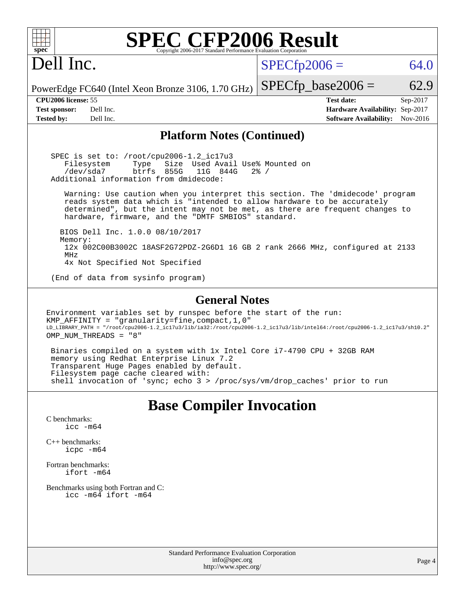| <b>SPEC CFP2006 Result</b><br>$spec^*$<br>Copyright 2006-2017 Standard Performance Evaluation Corporation                                                                                                                                                                                       |                                                                                                               |
|-------------------------------------------------------------------------------------------------------------------------------------------------------------------------------------------------------------------------------------------------------------------------------------------------|---------------------------------------------------------------------------------------------------------------|
| Dell Inc.                                                                                                                                                                                                                                                                                       | $SPECfp2006 =$<br>64.0                                                                                        |
| PowerEdge FC640 (Intel Xeon Bronze 3106, 1.70 GHz)                                                                                                                                                                                                                                              | $SPECfp\_base2006 =$<br>62.9                                                                                  |
| CPU2006 license: 55<br><b>Test sponsor:</b><br>Dell Inc.<br>Dell Inc.<br><b>Tested by:</b>                                                                                                                                                                                                      | <b>Test date:</b><br>Sep-2017<br>Hardware Availability: Sep-2017<br><b>Software Availability:</b><br>Nov-2016 |
| <b>Platform Notes (Continued)</b>                                                                                                                                                                                                                                                               |                                                                                                               |
| SPEC is set to: /root/cpu2006-1.2_ic17u3<br>Filesystem<br>Size Used Avail Use% Mounted on<br>Type<br>/dev/sda7<br>btrfs 855G<br>11G 844G<br>Additional information from dmidecode:                                                                                                              | $2\frac{3}{6}$ /                                                                                              |
| Warning: Use caution when you interpret this section. The 'dmidecode' program<br>reads system data which is "intended to allow hardware to be accurately<br>determined", but the intent may not be met, as there are frequent changes to<br>hardware, firmware, and the "DMTF SMBIOS" standard. |                                                                                                               |
| BIOS Dell Inc. 1.0.0 08/10/2017<br>Memory:<br>12x 002C00B3002C 18ASF2G72PDZ-2G6D1 16 GB 2 rank 2666 MHz, configured at 2133<br>MHz<br>4x Not Specified Not Specified                                                                                                                            |                                                                                                               |
| (End of data from sysinfo program)                                                                                                                                                                                                                                                              |                                                                                                               |
| <b>General Notes</b>                                                                                                                                                                                                                                                                            |                                                                                                               |
| Environment variables set by runspec before the start of the run:<br>KMP_AFFINITY = "granularity=fine, compact, 1, 0"<br>LD_LIBRARY_PATH = "/root/cpu2006-1.2_icl7u3/lib/ia32:/root/cpu2006-1.2_icl7u3/lib/intel64:/root/cpu2006-1.2_icl7u3/sh10.2"<br>OMP_NUM_THREADS = "8"                    |                                                                                                               |
| Binaries compiled on a system with 1x Intel Core i7-4790 CPU + 32GB RAM<br>memory using Redhat Enterprise Linux 7.2<br>Transparent Huge Pages enabled by default.<br>Filesystem page cache cleared with:<br>shell invocation of 'sync; echo 3 > /proc/sys/vm/drop_caches' prior to run          |                                                                                                               |
| <b>Base Compiler Invocation</b>                                                                                                                                                                                                                                                                 |                                                                                                               |
| C benchmarks:<br>$\text{icc}$ -m64                                                                                                                                                                                                                                                              |                                                                                                               |
| $C_{++}$ benchmarks:<br>icpc -m64                                                                                                                                                                                                                                                               |                                                                                                               |
| Fortran benchmarks:<br>ifort -m64                                                                                                                                                                                                                                                               |                                                                                                               |
| Benchmarks using both Fortran and C:<br>icc -m64 ifort -m64                                                                                                                                                                                                                                     |                                                                                                               |
|                                                                                                                                                                                                                                                                                                 |                                                                                                               |
| Standard Performance Evaluation Corporation<br>info@spec.org<br>http://www.spec.org/                                                                                                                                                                                                            | Page 4                                                                                                        |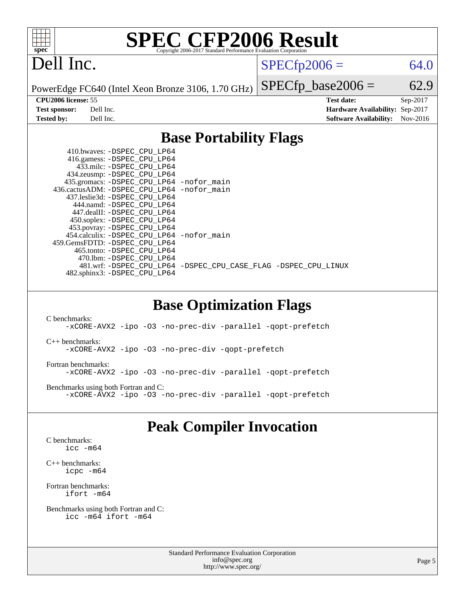

# **[SPEC CFP2006 Result](http://www.spec.org/auto/cpu2006/Docs/result-fields.html#SPECCFP2006Result)**

# Dell Inc.

 $SPECTp2006 = 64.0$ 

PowerEdge FC640 (Intel Xeon Bronze 3106, 1.70 GHz)

 $SPECTp\_base2006 = 62.9$ **[CPU2006 license:](http://www.spec.org/auto/cpu2006/Docs/result-fields.html#CPU2006license)** 55 **[Test date:](http://www.spec.org/auto/cpu2006/Docs/result-fields.html#Testdate)** Sep-2017 **[Test sponsor:](http://www.spec.org/auto/cpu2006/Docs/result-fields.html#Testsponsor)** Dell Inc. **[Hardware Availability:](http://www.spec.org/auto/cpu2006/Docs/result-fields.html#HardwareAvailability)** Sep-2017 **[Tested by:](http://www.spec.org/auto/cpu2006/Docs/result-fields.html#Testedby)** Dell Inc. **[Software Availability:](http://www.spec.org/auto/cpu2006/Docs/result-fields.html#SoftwareAvailability)** Nov-2016

## **[Base Portability Flags](http://www.spec.org/auto/cpu2006/Docs/result-fields.html#BasePortabilityFlags)**

| 435.gromacs: -DSPEC_CPU_LP64 -nofor_main                       |
|----------------------------------------------------------------|
| 436.cactusADM: -DSPEC CPU LP64 -nofor main                     |
|                                                                |
|                                                                |
|                                                                |
|                                                                |
|                                                                |
| 454.calculix: - DSPEC CPU LP64 - nofor main                    |
|                                                                |
|                                                                |
|                                                                |
| 481.wrf: -DSPEC CPU_LP64 -DSPEC_CPU_CASE_FLAG -DSPEC_CPU_LINUX |
|                                                                |
|                                                                |

### **[Base Optimization Flags](http://www.spec.org/auto/cpu2006/Docs/result-fields.html#BaseOptimizationFlags)**

[C benchmarks](http://www.spec.org/auto/cpu2006/Docs/result-fields.html#Cbenchmarks): [-xCORE-AVX2](http://www.spec.org/cpu2006/results/res2017q4/cpu2006-20170918-49829.flags.html#user_CCbase_f-xCORE-AVX2) [-ipo](http://www.spec.org/cpu2006/results/res2017q4/cpu2006-20170918-49829.flags.html#user_CCbase_f-ipo) [-O3](http://www.spec.org/cpu2006/results/res2017q4/cpu2006-20170918-49829.flags.html#user_CCbase_f-O3) [-no-prec-div](http://www.spec.org/cpu2006/results/res2017q4/cpu2006-20170918-49829.flags.html#user_CCbase_f-no-prec-div) [-parallel](http://www.spec.org/cpu2006/results/res2017q4/cpu2006-20170918-49829.flags.html#user_CCbase_f-parallel) [-qopt-prefetch](http://www.spec.org/cpu2006/results/res2017q4/cpu2006-20170918-49829.flags.html#user_CCbase_f-qopt-prefetch) [C++ benchmarks:](http://www.spec.org/auto/cpu2006/Docs/result-fields.html#CXXbenchmarks) [-xCORE-AVX2](http://www.spec.org/cpu2006/results/res2017q4/cpu2006-20170918-49829.flags.html#user_CXXbase_f-xCORE-AVX2) [-ipo](http://www.spec.org/cpu2006/results/res2017q4/cpu2006-20170918-49829.flags.html#user_CXXbase_f-ipo) [-O3](http://www.spec.org/cpu2006/results/res2017q4/cpu2006-20170918-49829.flags.html#user_CXXbase_f-O3) [-no-prec-div](http://www.spec.org/cpu2006/results/res2017q4/cpu2006-20170918-49829.flags.html#user_CXXbase_f-no-prec-div) [-qopt-prefetch](http://www.spec.org/cpu2006/results/res2017q4/cpu2006-20170918-49829.flags.html#user_CXXbase_f-qopt-prefetch) [Fortran benchmarks](http://www.spec.org/auto/cpu2006/Docs/result-fields.html#Fortranbenchmarks): [-xCORE-AVX2](http://www.spec.org/cpu2006/results/res2017q4/cpu2006-20170918-49829.flags.html#user_FCbase_f-xCORE-AVX2) [-ipo](http://www.spec.org/cpu2006/results/res2017q4/cpu2006-20170918-49829.flags.html#user_FCbase_f-ipo) [-O3](http://www.spec.org/cpu2006/results/res2017q4/cpu2006-20170918-49829.flags.html#user_FCbase_f-O3) [-no-prec-div](http://www.spec.org/cpu2006/results/res2017q4/cpu2006-20170918-49829.flags.html#user_FCbase_f-no-prec-div) [-parallel](http://www.spec.org/cpu2006/results/res2017q4/cpu2006-20170918-49829.flags.html#user_FCbase_f-parallel) [-qopt-prefetch](http://www.spec.org/cpu2006/results/res2017q4/cpu2006-20170918-49829.flags.html#user_FCbase_f-qopt-prefetch) [Benchmarks using both Fortran and C](http://www.spec.org/auto/cpu2006/Docs/result-fields.html#BenchmarksusingbothFortranandC): [-xCORE-AVX2](http://www.spec.org/cpu2006/results/res2017q4/cpu2006-20170918-49829.flags.html#user_CC_FCbase_f-xCORE-AVX2) [-ipo](http://www.spec.org/cpu2006/results/res2017q4/cpu2006-20170918-49829.flags.html#user_CC_FCbase_f-ipo) [-O3](http://www.spec.org/cpu2006/results/res2017q4/cpu2006-20170918-49829.flags.html#user_CC_FCbase_f-O3) [-no-prec-div](http://www.spec.org/cpu2006/results/res2017q4/cpu2006-20170918-49829.flags.html#user_CC_FCbase_f-no-prec-div) [-parallel](http://www.spec.org/cpu2006/results/res2017q4/cpu2006-20170918-49829.flags.html#user_CC_FCbase_f-parallel) [-qopt-prefetch](http://www.spec.org/cpu2006/results/res2017q4/cpu2006-20170918-49829.flags.html#user_CC_FCbase_f-qopt-prefetch)

## **[Peak Compiler Invocation](http://www.spec.org/auto/cpu2006/Docs/result-fields.html#PeakCompilerInvocation)**

[C benchmarks](http://www.spec.org/auto/cpu2006/Docs/result-fields.html#Cbenchmarks): [icc -m64](http://www.spec.org/cpu2006/results/res2017q4/cpu2006-20170918-49829.flags.html#user_CCpeak_intel_icc_64bit_bda6cc9af1fdbb0edc3795bac97ada53)

[C++ benchmarks:](http://www.spec.org/auto/cpu2006/Docs/result-fields.html#CXXbenchmarks) [icpc -m64](http://www.spec.org/cpu2006/results/res2017q4/cpu2006-20170918-49829.flags.html#user_CXXpeak_intel_icpc_64bit_fc66a5337ce925472a5c54ad6a0de310)

[Fortran benchmarks](http://www.spec.org/auto/cpu2006/Docs/result-fields.html#Fortranbenchmarks): [ifort -m64](http://www.spec.org/cpu2006/results/res2017q4/cpu2006-20170918-49829.flags.html#user_FCpeak_intel_ifort_64bit_ee9d0fb25645d0210d97eb0527dcc06e)

[Benchmarks using both Fortran and C](http://www.spec.org/auto/cpu2006/Docs/result-fields.html#BenchmarksusingbothFortranandC): [icc -m64](http://www.spec.org/cpu2006/results/res2017q4/cpu2006-20170918-49829.flags.html#user_CC_FCpeak_intel_icc_64bit_bda6cc9af1fdbb0edc3795bac97ada53) [ifort -m64](http://www.spec.org/cpu2006/results/res2017q4/cpu2006-20170918-49829.flags.html#user_CC_FCpeak_intel_ifort_64bit_ee9d0fb25645d0210d97eb0527dcc06e)

> Standard Performance Evaluation Corporation [info@spec.org](mailto:info@spec.org) <http://www.spec.org/>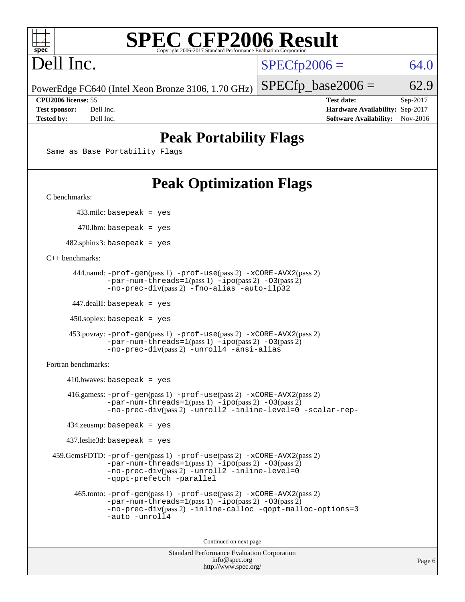

# **[SPEC CFP2006 Result](http://www.spec.org/auto/cpu2006/Docs/result-fields.html#SPECCFP2006Result)**

# Dell Inc.

 $SPECTp2006 = 64.0$ 

PowerEdge FC640 (Intel Xeon Bronze 3106, 1.70 GHz)

 $SPECTp\_base2006 = 62.9$ 

**[CPU2006 license:](http://www.spec.org/auto/cpu2006/Docs/result-fields.html#CPU2006license)** 55 **[Test date:](http://www.spec.org/auto/cpu2006/Docs/result-fields.html#Testdate)** Sep-2017 **[Test sponsor:](http://www.spec.org/auto/cpu2006/Docs/result-fields.html#Testsponsor)** Dell Inc. **[Hardware Availability:](http://www.spec.org/auto/cpu2006/Docs/result-fields.html#HardwareAvailability)** Sep-2017 **[Tested by:](http://www.spec.org/auto/cpu2006/Docs/result-fields.html#Testedby)** Dell Inc. **[Software Availability:](http://www.spec.org/auto/cpu2006/Docs/result-fields.html#SoftwareAvailability)** Nov-2016

## **[Peak Portability Flags](http://www.spec.org/auto/cpu2006/Docs/result-fields.html#PeakPortabilityFlags)**

Same as Base Portability Flags

# **[Peak Optimization Flags](http://www.spec.org/auto/cpu2006/Docs/result-fields.html#PeakOptimizationFlags)**

[C benchmarks](http://www.spec.org/auto/cpu2006/Docs/result-fields.html#Cbenchmarks):

433.milc: basepeak = yes

470.lbm: basepeak = yes

 $482$ .sphinx3: basepeak = yes

[C++ benchmarks:](http://www.spec.org/auto/cpu2006/Docs/result-fields.html#CXXbenchmarks)

```
 444.namd: -prof-gen(pass 1) -prof-use(pass 2) -xCORE-AVX2(pass 2)
      -par-num-threads=1-ipo-O3(pass 2)-no-prec-div(pass 2) -fno-alias -auto-ilp32
```
447.dealII: basepeak = yes

 $450$ .soplex: basepeak = yes

```
 453.povray: -prof-gen(pass 1) -prof-use(pass 2) -xCORE-AVX2(pass 2)
        -par-num-threads=1-ipo-O3(pass 2)-no-prec-div(pass 2) -unroll4 -ansi-alias
```
[Fortran benchmarks](http://www.spec.org/auto/cpu2006/Docs/result-fields.html#Fortranbenchmarks):

```
410.bwaves: basepeak = yes 416.gamess: -prof-gen(pass 1) -prof-use(pass 2) -xCORE-AVX2(pass 2)
            -par-num-threads=1-ipo-O3(pass 2)-no-prec-div(pass 2) -unroll2 -inline-level=0 -scalar-rep-
   434.zeusmp: basepeak = yes
   437.leslie3d: basepeak = yes
459.GemsFDTD: -prof-gen(pass 1) -prof-use(pass 2) -xCORE-AVX2(pass 2)
            -par-num-threads=1(pass 1) -ipo(pass 2) -O3(pass 2)
            -no-prec-div(pass 2) -unroll2 -inline-level=0
            -qopt-prefetch -parallel
     465.tonto: -prof-gen(pass 1) -prof-use(pass 2) -xCORE-AVX2(pass 2)
            -par-num-threads=1(pass 1) -ipo(pass 2) -O3(pass 2)
            -no-prec-div-inline-calloc-qopt-malloc-options=3
            -auto -unroll4
```
Continued on next page

```
Standard Performance Evaluation Corporation
            info@spec.org
          http://www.spec.org/
```